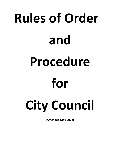# **Rules of Order and Procedure for City Council**

**(Amended May 2022)**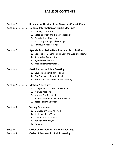# **TABLE OF CONTENTS**

|                                                         | Section 1  Role and Authority of the Mayor as Council Chair |                                                          |
|---------------------------------------------------------|-------------------------------------------------------------|----------------------------------------------------------|
|                                                         | Section 2  General Information on Public Meetings           |                                                          |
|                                                         |                                                             | 1. Defining a Quorum                                     |
|                                                         |                                                             | 2. Dates, Location and Time of Meetings                  |
|                                                         |                                                             | 3. Cancellation of Meetings                              |
|                                                         |                                                             | 4. Workshop and Special Meetings                         |
|                                                         |                                                             | 5. Noticing Public Meetings                              |
| Section 3  Agenda Submission Deadlines and Distribution |                                                             |                                                          |
|                                                         |                                                             | 1. Deadline for General Public, Staff and Workshop Items |
|                                                         |                                                             | 2. Removal of Agenda Items                               |
|                                                         |                                                             | 3. Agenda Distribution                                   |
|                                                         |                                                             | 4. Agenda Item Information                               |
| Section 4  Participation in Public Meetings             |                                                             |                                                          |
|                                                         |                                                             | 1. Councilmembers Right to Speak                         |
|                                                         |                                                             | 2. City Employees Right to Speak                         |
|                                                         |                                                             | 3. General Participation in Public Meetings              |
| Section 5  Motion Procedures                            |                                                             |                                                          |
|                                                         |                                                             | 1. Using General Consent for Motions                     |
|                                                         |                                                             | 2. Allowed Motions                                       |
|                                                         |                                                             | 3. Motions Not Debatable                                 |
|                                                         |                                                             | 4. Allowed Number of Motions on Floor                    |
|                                                         |                                                             | <b>5.</b> Reconsidering a Motion                         |
| Section 6  Voting Procedures                            |                                                             |                                                          |
|                                                         |                                                             | 1. Methods of Voting Allowed                             |
|                                                         |                                                             | 2. Abstaining from Voting                                |
|                                                         | З.                                                          | Minimum Vote Required                                    |
|                                                         |                                                             | 4. Voting by the Mayor                                   |
|                                                         |                                                             | 5. Tie Votes                                             |
|                                                         |                                                             |                                                          |

# **Section 7 . . . . . . . Order of Business for Regular Meetings**

# **Section 8 . . . . . . . Order of Business for Public Hearings**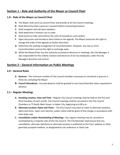# **Section 1 – Role and Authority of the Mayor as Council Chair**

# **1.0 – Role of the Mayor as Council Chair**

- **A.** The Mayor shall serve as Council Chair and preside at all City Council meetings.
- **B.** Shall determine that a quorum is present before transacting business.
- **C.** Shall recognize and call upon speakers.
- **D.** Shall determine if motions are in order.
- **E.** Shall preserve order and enforce the rules of procedures and conduct.
- **F.** Open discussion and introduce items listed on the agenda. The Mayor preserves the right to change the order of the agenda at his/her discretion.
- **G.** Determine the seating arrangement of Councilmembers. However, any two or more Councilmembers reserve the right to exchange seats.
- **H.** While the Mayor/Chair has the authority to preserve decorum in meetings, the City Manager is also responsible for the orderly conduct and decorum of all city employees under the City Managers direction and control.

# **Section 2 – General Information on Public Meetings**

## **2.0 – General Rules**

- **A. Quorum -** The minimum number of City Council members necessary to constitute a quorum is three (3), excluding the Mayor.
- **B. Council Attendance -** Excused absence shall be granted to any Councilmember when requested in advance.

# **2.1 – Regular Meetings**

- **A. Standing Location, Date and Time –** Regular City Council meetings shall be held on the first and third Tuesdays of each month. City Council meetings shall be convened in the City Council Chambers at 75 North Main Street, in Heber City, beginning at 6:00 p.m.
- **B. Alternate Location, Dates and Times** The City Council may elect to meet at alternate locations, dates and times. Upon such election, public notice shall be given of the change in accordance with Utah State Law.
- **C. Cancellation and/or Rescheduling of Meetings -** Any regular meeting may be canceled or rescheduled by a majority vote of the City Council. The City Recorder shall ensure that any cancellation, alternate date/time or alternate location is published on the City's website or other generally accepted medium, as designated by city ordinance or State Law.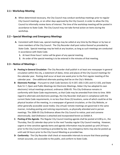## **2.1– Workshop Meeting**

**A-** When determined necessary, the City Council may conduct workshop meetings prior to regular City Council meetings, or on other days approved by the City Council, in order to allow the City Council to informally review items of interest. The time of the workshop meeting will be posted in accordance to State Code. The City Council may not take formal action on items during the workshop.

#### **2.2 – Special Meetings and Emergency Meetings**

- **A.** Consistent with State Law, special meetings may be called at any time by the Mayor or by two or more members of the City Council. The City Recorder shall post notice thereof as provided by State Code. Special meetings may be held at any location, as long as such meetings are conducted in accordance with State Code.
	- **1.** At least three hours' notice will be given of any special meeting.
	- **2.** An order of the special meeting is to be entered in the minutes of that meeting.

## **2.3 – Notice of Meetings –**

- **A- Posting in General Circulation -**The City Recorder shall publish in at least one newspaper in general circulation within the city, a statement of dates, times and places of the City Council meetings for the calendar year. Posting shall occur at least one week prior to the first regular meeting of the calendar year. One additional alternate posting shall be on the City's Website.
- **B- Electronic Postings** Pursuant to Utah Code Sections 52-4-207, 63G-3-201 and 4-2-103, and State Rule 51-7, Open and Public Meetings Act Electronic Meetings, Heber City has adopted its own electronic/ virtual meetings protocol, ordinance 2006-05. This City Ordinance remains in conformity with State Code requirements, as that Code may be amended from time to time. With regard to alternate and electronic postings, the City Recorder shall post in compliance with the current State Code requirements, in no less than three (3) locations, some of which could be at the physical location of the meeting, in a newspaper of general circulation, or the City Website, or other generally accessible social media. City virtual/ remote meetings are governed in the same manner, including posting and noticing requirements, as physically attended and in person meetings. The 2006-05 City Ordinance allows the City Council to notice, post and convene electronically. *Said Ordinance is attached and incorporated herein as Exhibit A.*
- **C- Posting of the Agenda** -The Regular City Council meeting agenda shall be posted at 6:00 p.m., the Thursday, five (5) calendar days prior to the next Tuesday regular City Council meeting. However, urgent or time sensitive agenda items and agenda information may be posted up until 24 hours prior to the City Council meeting as provided by law. Any emergency items may also be posted up until said 24 hours prior to the City Council Meeting as provided law.
- **D- Conformity** The City Recorder shall check at reasonable intervals to ensure that these postings remain accurate, are accessible to the public, and conform to State Code.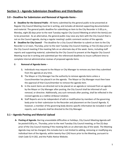# **Section 3 – Agenda Submission Deadlines and Distribution**

# **3.0 – Deadline for Submission and Removal of Agenda Items -**

**A- Deadline for the General Public -** All Items submitted by the general public to be presented at Regular City Council Meeting must be in writing, and includes all desired supporting documentation and material. The general public deadline for submitting an item to the City Recorder is 5:00 p.m., Monday, eight (8) days prior to the next Tuesday regular City Council Meeting at which the item(s) are to be presented. As an alternative, the general public may raise any item with the City Council that is not on the Council agenda, during a regular meeting's public comment section of the agenda.

**B- Deadline for City Council** - The deadline for a City Council Member to submit an item to the City Recorder is 12 noon, Thursday, prior to the next Tuesday City Council meeting, or five (5) days prior of the City Council meeting if the meeting falls on an alternate day of the week. Items, including staff reports and supporting material, submitted by the City Council to present at the Regular City Council Meeting must be in writing and submitted per the referenced deadlines to insure sufficient time to complete internal administrative reviews of proposed agenda items.

## **C- Removal of Agenda items** –

- **1.** Individuals may request to the Mayor or City Manager to remove any item they submitted from the agenda at any time.
- **2.** The Mayor or City Manager has the authority to remove agenda items unless a Councilmember has placed it on the agenda. The Mayor or City Manager must then have the approval of that Councilmember to remove the agenda item.
- **3.** In the event items are directed not to be placed on an agenda or removed from an agenda by the Mayor or City Manager after posting, the City Council shall be informed of such removal, or directive. Additionally, any such removals after posting, shall be reflected in the revised agenda as a redline strikeout notation.
- **4.** Staff Reports are to be independent of edit or modification by members of the governing body prior to their submission to the Recorder and placement on the Council Agenda. If, however, a member of the governing body desires specific information be included in staff reports, such requests shall be directed to the City Manager.

# **3.1 – Agenda Posting and Material Upload**

**A- Posting of Agenda**. Barring unavoidable difficulties or holidays, City Council Meeting Agenda will be *posted 6:00 p.m.,* Thursday, prior to the next Tuesday City Council meeting, or five (5) days prior of the City Council meeting if the meeting falls on an alternate day of the week. The Meeting Agenda may not be changed, this includes but is not limited to adding, removing or modifying any individual item of the Agenda, within twenty-four (24) hours prior to the Meeting, pursuant to Utah Code 52-4-202, and the Public Notice Website.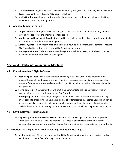- **B- Material Upload**. Agenda Material shall be uploaded by *6:00 p.m.,* the Thursday, five (5) calendar days preceding the next Tuesday City Council meeting.
- **C- Media Notification –** Media notification shall be accomplished by the City's upload to the Utah Public Notice Website; utah.gov/pmn.

# **3.2 – Agenda Item Information**

- **A. Support Material for Agenda Items -** Each agenda item shall be accompanied with any support material needed for Councilmembers to take action.
- **B. Numbering and Indexing of Agenda items –** All items shall be numbered or lettered sequentially for purposes of consideration on the Agenda.
- **C. Consent Agenda** The Consent Agenda shall contain routine, non-controversial items that require City Council action but need little or no City Council deliberation.
- **D- Non-Agenda Items** While matters not on the agenda may be discussed, no final action can be taken on any matter not on the written agenda.

# **Section 4 – Participation in Public Meetings**

# **4.0 – Councilmembers' Right to Speak**

- **A. Requesting to Speak -**While each member has the right to speak, the Councilmember must request this right by addressing the Chair. The Chair must recognize any Councilmember who seeks the floor when appropriately entitled to do so. Upon being recognized, the Councilmember may proceed.
- **B. Staying on Topic -** Councilmembers will limit their comments to the subject matter, time or motion being currently considered by the City Council.
- **C. Interrupting**  A Councilmember, when given the floor, shall not be interrupted while speaking unless called to order by the Chair, unless a point of order is raised by another Councilmember, or unless the speaker chooses to yield a question from another Councilmember. Councilmembers shall not be interrupted in making a motion. Any motion shall be allowed to proceed for a second.

# **4.1 – City Employees' Right to Speak**

**A- City Manager and Administrative Level Officials -** The City Manager and any other appointed, administrative level official shall be entitled at all times to any privilege of the floor for the purpose of speaking upon any question that pertains to their duties, responsibilities and authority.

# **4.2 – General Participation in Public Meetings and Public Hearings**

**A. Invited to Attend -** All are welcome to attend City Council public meetings and hearings, and will be admitted up to the fire safety capacity of the room.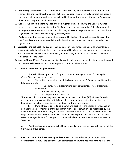- **B. Addressing City Council** The Chair must first recognize any party representing an item on the agenda, desiring to address the Council. When called upon, the person will approach the podium and state their name and address to be included in the meeting minutes. If speaking for groups, the name of the group should be stated.
- **C. General Public Comment to Agenda and non- Agenda Items–** Following the Consent Agenda segment, there shall be a portion of the City Council Meeting designated as Public Comments for non-Agenda Items. During this time the public may address non-agenda items to the Council. This segment shall be limited to twenty (20) minutes, total.

Public comment on agenda items shall be governed by Section F below. Persons addressing the City Council representing an agenda item shall confine their remarks to matters related to the agenda item.

- **D. Equitable Time to Speak -** To guarantee all persons, on the agenda, and acting as presenters an opportunity to be heard, initially, all such speakers will be given the same amount of time to speak. Presentations shall be limited to twenty (20) minutes each, but may be extended or shortened at the discretion of the Chair.
- **E. Sharing Unused Time -** No speaker will be allowed to yield any part of his/her time to another, and no speaker will be credited with time requested but not used by another.

## **F. Public Comments to Agenda Items -**

1. There shall be an opportunity for public comment on Agenda Items following the *General Business,* of the meeting.

a. This public comment segment shall come during the *Action Items* portion, after following format:

The agenda item presentations from consultants or item presenters, and/or staff,

- Council questions, and
- Final questions of the Mayor.

This entire public comment segment shall be limited to a total of ten (10) minutes for each Agenda Item. Upon completion of this final public comment segment of the meeting, the Council shall be allowed to deliberate and discuss without interruption.

b*.* During this designated public comment portion of the Meeting, for agenda or non-agenda items, members of the public that wish to speak must first be recognized by the Chair. Redundant comments may be cut off at the discretion of the Chair. Once the Council has begun its deliberation, no further public comment shall be permitted. Once action has been taken on an agenda item, further public comment shall not be permitted unless mandated by State Law.

2. Additionally, public comment shall be permitted at any time electronically by way of the City Council group email.

**G.** Rules of Conduct for the Governing Body – Subject to State Rules, Regulations, or Code, Councilmembers may expel any other Councilmember on a two thirds vote, for acts that in the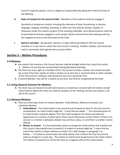Council's majority opinion, rise to a degree of substantially disrupting the orderly function of the Meeting.

**H. Rules of Conduct for the General Public -** Members of the audience shall not engage in

disorderly or boisterous conduct including the utterance of loud, threatening, or abusive language, clapping, whistling, stamping, or other acts that disturb, disrupt, impede, or otherwise render the orderly conduct of the meeting unfeasible. Such demonstrations shall not be permitted and those engaged in such conduct will be removed from the meeting room by the sergeant-at-arms at the discretion of the Chair.

**I. Banners and Signs -** No placards, banners, or signs will be permitted in the City Council chamber or in any room in which the City Council is meeting. Exhibits, displays, and visual aids used in connection with agenda items are permitted.

# **Section 5 – Motion Procedures**

## **5.0 Motions**

- **A.** Any matter that requires a City Council decision shall be brought before the Council by motion. **1.** Motions of any kind are not permitted during Workshop meetings.
- **B.** The Chair has every right as a member of the City Council to make a motion, but should normally do so only if the Chair wishes to make a motion on an item but is convinced that no other member of the City Council is willing to step forward to do so at a particular time.
- **C.** A Council Member may call for a motion at any time, and shall be recognized by the Chair.

# **5.1 Using General Consent for Motions**

**A.** The Chair may use General Consent (also known as Unanimous Consent) with all motions except those motions where the votes are used for purposes of the meeting minutes and require a roll call of the council.

# **5.2 Allowed Motions**

- **A.** There are three basic forms of motions allowed: Initial Motions, Motions to Amend, and Substitute Motions.
	- **1. Initial Motion**. -The initial motion is the one that puts forward an item for the City Council's consideration. An initial motion might be: "I move that we adopt…". The commencement of an initial motion suspends debate. The Chair shall recognize the motion and allow for opportunity of a second, at which point, there may be discussion on the motion. If there is no second, or a motion is defeated, debate may continue unless, or until there is another motion offered.
	- **2. Motion to Amend.** If a Councilmember wants to change the initial motion that is before the City Council, they would move to amend it. A motion to amend might be: "I move that we amend the motion to adopt ordinance number 10-1 with changes in paragraph 1 as follows…." A motion to amend takes the initial motion that is before the City Council and seeks to change it in some way. The motion to amend must be germane to the initial motion. The motion to amend must not be the same as a negative vote on the initial motion.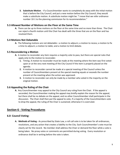**3. Substitute Motion**. - If a Councilmember wants to completely do away with the initial motion that is before the City Council, and put a new motion before the City Council, they would make a substitute motion. A substitute motion might be: "I move that we refer ordinance number 10-1 to the planning commission for its recommendation."

## **5.3 Allowed Number of Motions on the Floor at the Same Time**

**A.** There can be up to three motions on the floor at the same time and no more than three. The Chair can reject a fourth motion until the Chair has dealt with the three that are on the floor and has resolved them.

# **5.4 Motions Not Debatable**

**A.** The following motions are not debatable—a motion to adjourn; a motion to recess; a motion to fix a time to adjourn; a motion to table; and a motion to limit debate.

# **5.5 Reconsidering a Motion**

- **A.** A motion to reconsider any item requires a majority vote to pass, but there are special rules that apply only to the motion to reconsider.
	- **1.** Timing. A motion to reconsider must be made at the meeting where the item was first voted upon or at the very next meeting of the City Council if the item is properly placed on the agenda.
	- **2.** A motion to reconsider cannot be made at a special meeting of the Council unless the number of Councilmembers present at the special meeting equals or exceeds the number present at the meeting when the action was approved.
	- **3.** A motion to reconsider can only be made by a member who voted in the majority on the original motion.

# **5.6 Appealing the Ruling of the Chair**

**A.** Any Councilmember may appeal to the City Council any ruling from the Chair. If the appeal is seconded, the Councilmember making the appeal may briefly explain the reason for the appeal; but there shall be no debate on the appeal, and no other Councilmember shall participate in the discussion. The Chair shall then put the appeal to vote, if a majority of the Councilmembers vote to drop the appeal, the ruling of the Chair is sustained; otherwise it is overruled.

# **Section 6 - Voting Procedures**

# **6.0- Council Voting-**

**A. Methods of Voting -** As prescribed by State Law, a roll call vote is to be taken for all ordinances, resolutions, and any action that creates a liability to the City. Each Councilmember's vote must be clearly set for the record. No member shall address the Chair or demand the floor while a vote is being taken. No proxy votes or comments are permitted during voting. Every resolution or ordinance shall be in writing before the vote is taken.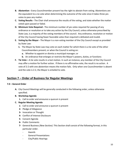- **B. Abstention -** Every Councilmember present has the right to abstain from voting. Abstentions are the equivalent to a no vote when determining the outcome of the vote since it takes three yes votes to pass any matter.
- **C. Voting Results -** The Chair shall announce the results of the voting, and state whether the matter voted upon passed or failed.
- **D. Minimum Vote Required -** The minimum number of yes votes required for passing of any ordinance or resolution or to take any action by the City Council, unless otherwise prescribed by State Law, is a majority of the voting members of the council. Any ordinance, resolution or motion of the City Council having fewer favorable votes than required is defeated and invalid.
- **E. Voting by the Mayor -** The Mayor is a non-voting member of the City Council except as provided by State Law:
	- **1.** The Mayor by State Law may vote on each matter for which there is a tie vote of the other Councilmembers present; or when the Council is voting on:
		- **a.** Whether to appoint or dismiss a municipal manager; or
		- **b.** An ordinance that enlarges or restricts the Mayor's powers, duties, or functions
- **F. Tie Vote –** A tie vote results in a lost motion. In such an instance, any member of the City Council may offer a motion for further action. If there is no affirmative vote, the result is no action. A vote of 2-2 with one abstention means the motion fails. Only when one Councilmember is absent and the vote is 2-2, the Mayor is entailed to vote.

# **Section 7 – Order of Business for Regular Meetings**

## **7.0 – General Order**

- **A.** City Council Meetings will be generally conducted in the following order, unless otherwise specified.
- **B. Workshop Agenda**
	- **1.** Call to order and announce a quorum is present
- **C. Regular Meeting Agenda**
	- **1-** Call to order and announce a quorum is present
	- **2-** Pledge of Allegiance
	- **3-** Invocation or Thought
	- **4-** Conflict of Interest Disclosure
	- **5-** Consent Agenda
	- **6-** Public Comments
	- **7-** General Business *(New Section)*. This Section shall consist of the following format, in this particular order.
		- Awards
		- General Presentations
		- City/Public Hearings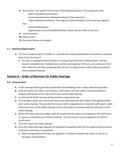- **8-** Acton Items. This Section shall consist of the following format, in this particular order.
	- Staff/ Consultant Presentations
	- Council questions first, followed by Mayor/ Chair questions
	- Public questions/comments: This segment shall be limited to 10 minutes per agenda item.
	- Council Deliberations
	- Opportunity to Councilmember Motions, which may be called at any time
- **9-** Communication
- **10-** Adjournment
- **11-** Executive Session (as needed)

#### **7.1 – Standard Adjournment**

- **A.** The hour of adjournment is 10:00 p.m., and will not continue beyond that time without a majority vote of the City Council.
	- **1.** To assist in making the determination to continue past the hour of adjournment, the City Council may determine if deliberation could be concluded by 10:30 p.m. and continue to that time. Otherwise all items remaining after the hour of adjournment will be deferred until the next scheduled meeting.

# **Section 8 – Order of Business for Public Hearings**

## **8.0 – General Order**

- **A.** Public Hearings will be generally conducted in the following order, unless otherwise specified
- **B.** Staff will review the matter, will prepare a staff report, and may make a recommendation or propose alternatives to the City Council prior to the Public Hearing.
- **C.** A notice of the Public Hearing will be posted as required by Law.
- **D.** The members of the City Council will receive the staff report for the matter in the agenda packet prior to the meeting. This provides the Council with an opportunity to study the staff report, which will become part of the Public Hearing record, and to become familiar with the item prior to the Public Hearing.
- **E.** When the Public Hearing is called, staff will summarize the matter as contained in the staff report or request a continuance to a future meeting. The City Council may ask questions of staff for clarification.
- **F.** The Chair opens the Public Hearing.
- **G.** Once the Public Hearing is opened, the applicant or appellant then has the opportunity to present comments, testimony, or arguments.
	- **1.** When recognized by the Chair, the applicant is entitled to present the matter in person or through a representative.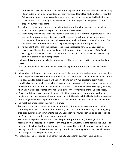- **2.** At Public Hearings the applicant has the burden of proof and, therefore, shall be allowed thirty (30) minutes for an initial presentation or comments, additional ten (10) minutes for rebuttal following the other comments on the matter, and concluding comments shall be limited to (10) minutes. The Chair may allow more time if required to provide due process for the property owner or applicant.
- **3.** In the case of an appeal when the appellant is different from the applicant, the appellant should be called upon first to provide comments or testimony.
- **4.** When recognized by the Chair, the appellant shall have a total of thirty (30) minutes for initial comments or presentation, additional ten (10) minutes for rebuttal following the other comments on the matter and concluding comments shall be limited to ten (10) minutes. The Chair may allow more time if required to provide due process for the appellant.
- **5.** An appellant, other than the applicant, and the spokesperson for an organized group of residents residing within the noticed area of the property that is the subject of the Public Hearing, may have up to fifteen (15) minutes to speak and shall not be allowed to defer any portion of their time to other speakers.
- **H.** Following this presentation, all other proponents of the matter are provided the opportunity to speak.
- **I.** After the proponent's finish, the Chair will ask any opponents or other concerned citizens to speak.
- **J.** All members of the public may speak during the Public Hearing. General comments and questions from the public may be limited to maximum of five (5) minutes per person provided, however, the spokesperson for larger groups may be allowed up to ten (10) minutes (time permitting). Individuals or groups shall not be allowed to defer any portion of their time to other speakers. In the event the time required for members of the public to speak would exceed sixty (60) minutes, the Chair may reduce or extend the maximum time limit for members of the Public to speak.
- **K.** Once all individuals have spoken, the applicant will be providing an opportunity to rebut any testimony or evidence provided by opponents or staff. The rebuttal shall be limited to answering or refuting testimony of opponents or staff. The time limit for rebuttal shall be ten (10) minutes.
- **L.** No repetitive or redundant testimony is allowed.

**1-** A speaker shall not present the same or substantially the same items or arguments to the Council repeatedly or be repetitious in presenting their oral comments. Nothing in the foregoing precluded submission of comments to the City Council in writing, for such action or not action as the Council, in its discretion, may deem appropriate.

**2-** In order to expedite matters and to avoid repetitious presentations, the designation of a spokesperson is encouraged. Whenever any group of individuals wishes to address the Council on the same subject matter, those individuals are encouraged to designate a spokesperson to address the City Council. With the consent of the City Council, the Chair may extend the time allocations for a designated spokesperson as necessary.

**M.** Following each presentation, members of the City Council may question the speaker(s).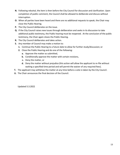- **N.** Following rebuttal, the item is then before the City Council for discussion and clarification. Upon completion of public comment, the Council shall be allowed to deliberate and discuss without interruption.
- **O.** When all parties have been heard and there are no additional requests to speak, the Chair may close the Public Hearing.
- **P.** The City Council deliberates on the issue.
- **Q.** If the City Council raises new issues through deliberation and seeks in its discussion to take additional public testimony, the Public hearing must be reopened. At the conclusion of the public testimony, the Chair again closes the Public Hearing.
- **R.** The City Council deliberates and takes action.
- **S.** Any member of Council may make a motion to:
	- **1.** Continue the Public Hearing to a future date to allow for further study/discussion; or
	- **2.** Close the Public Hearing and do one of the following:
		- **a.** Approve the matter as submitted,
		- **b.** Conditionally approve the matter with certain revisions,
		- **c.** Deny the matter, or
		- **d.** Deny the matter without prejudice (this action will allow the applicant to re-file without waiting a specified time period and will permit the waiver of any required fees).
- **T.** The applicant may withdraw the matter at any time before a vote is taken by the City Council.
- **U.** The Chair announces the final decision of the Council.

Updated 5.3.2022